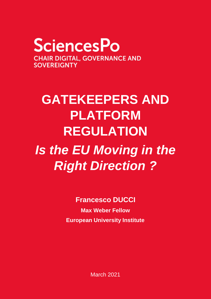**SciencesPo CHAIR DIGITAL, GOVERNANCE AND SOVEREIGNTY** 

# **GATEKEEPERS AND PLATFORM REGULATION**

# *Is the EU Moving in the Right Direction ?*

**Francesco DUCCI**

**Max Weber Fellow European University Institute**

March 2021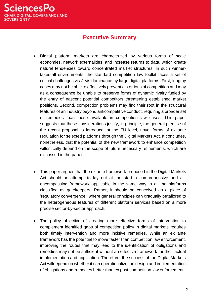

## **Executive Summary**

- Digital platform markets are characterized by various forms of scale economies, network externalities, and increase returns to data, which create natural tendencies toward concentrated market structures. In such winnertakes-all environments, the standard competition law toolkit faces a set of critical challenges vis-à-vis dominance by large digital platforms. First, lengthy cases may not be able to effectively prevent distortions of competition and may as a consequence be unable to preserve forms of dynamic rivalry fueled by the entry of nascent potential competitors threatening established market positions. Second, competition problems may find their root in the structural features of an industry beyond anticompetitive conduct, requiring a broader set of remedies than those available in competition law cases. This paper suggests that these considerations justify, in principle, the general premise of the recent proposal to introduce, at the EU level, novel forms of ex ante regulation for selected platforms through the Digital Markets Act. It concludes, nonetheless, that the potential of the new framework to enhance competition willcritically depend on the scope of future necessary refinements, which are discussed in the paper.
- This paper argues that the ex ante framework proposed in the Digital Markets Act should not attempt to lay out at the start a comprehensive and allencompassing framework applicable in the same way to all the platforms classified as gatekeepers. Rather, it should be conceived as a place of 'regulatory convergence', where general principles can gradually betailored to the heterogeneous features of different platform services based on a more precise sector-by-sector approach.
- The policy objective of creating more effective forms of intervention to complement identified gaps of competition policy in digital markets requires both timely intervention and more incisive remedies. While an ex ante framework has the potential to move faster than competition law enforcement, improving the routes that may lead to the identification of obligations and remedies may not be sufficient without an effective framework for their actual implementation and application. Therefore, the success of the Digital Markets Act willdepend on whether it can operationalize the design and implementation of obligations and remedies better than ex post competition law enforcement.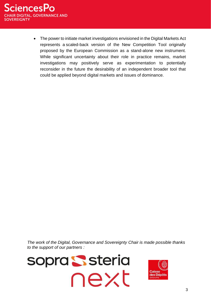

 The power to initiate market investigations envisioned in the Digital Markets Act represents a scaled-back version of the New Competition Tool originally proposed by the European Commission as a stand-alone new instrument. While significant uncertainty about their role in practice remains, market investigations may positively serve as experimentation to potentially reconsider in the future the desirability of an independent broader tool that could be applied beyond digital markets and issues of dominance.

*The work of the Digital, Governance and Sovereignty Chair is made possible thanks to the support of our partners :* 



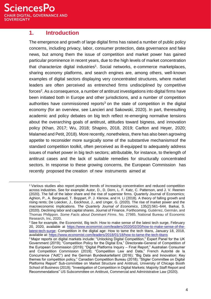**SciencesPo AIR DIGITAL, GOVERNANCE AND SOVEREIGNTY** 

## **1. Introduction**

The emergence and growth of large digital firms has raised a number of public policy concerns, including privacy, labor, consumer protection, data governance and fake news, but among them the issue of competition and market power has gained particular prominence in recent years, due to the high levels of market concentration that characterize digital industries<sup>1</sup>. Social networks, e-commerce marketplaces, sharing economy platforms, and search engines are, among others, well-known examples of digital sectors displaying very concentrated structures, where market leaders are often perceived as entrenched firms undisciplined by competitive forces<sup>2</sup>. As a consequence, a number of antitrust investigations into digital firms have been initiated both in Europe and other jurisdictions, and a number of competition authorities have commissioned reports<sup>3</sup> on the state of competition in the digital economy (for an overview, see Lancieri and Sakowski, 2020). In part, theresulting academic and policy debates on big tech reflect re-emerging normative tensions about the overarching goals of antitrust, attitudes toward bigness, and innovation policy (Khan, 2017; Wu, 2018; Shapiro, 2018, 2019; Carlton and Heyer, 2020; Malamed and Petit, 2018). More recently, nonetheless, there has also been agrowing appetite to reconsider more surgically some of the substantive mechanismsof the standard competition toolkit, often perceived as ill-equipped to adequately address issues of market power in big tech sectors; attributable, for instance, to thelength of antitrust cases and the lack of suitable remedies for structurally concentrated sectors. In response to these growing concerns, the European Commission has recently proposed the creation of new instruments aimed at

<sup>1</sup> Various studies also report possible trends of increasing concentration and reduced competition across industries. See for example: Autor, D., D. Dorn, L. F. Katz, C. Patterson, and J. V. Reenen (2020). The fall of the labor share and the rise of superstar firms. Quarterly Journal of Economics; Aghion, P., A. Bergeaud, T. Boppart, P. J. Klenow, and H. Li (2018). A theory of falling growth and rising rents; De Loecker, J., Eeckhout, J., and Unger, G. (2020). The rise of market power and the macroeconomic implications. *The Quarterly Journal of Economics*, 135(2):561–644. Barkai, S. (2020). Declining labor and capital shares. Journal of Finance, Forthcoming. Gutiérrez, Germán, and Thomas Philippon. *Some Facts about Dominant Firms*. No. 27985. National Bureau of Economic Research, Inc, 2020.

 $2$  See for example, the Economist, Big tech: How to make sense of the latest tech surge, February 20, 2020, available at [https://www.economist.com/leaders/2020/02/20/how-to-make-sense-of-the](https://www.economist.com/leaders/2020/02/20/how-to-make-sense-of-the-latest-tech-surge)[latest-tech-surge; C](https://www.economist.com/leaders/2020/02/20/how-to-make-sense-of-the-latest-tech-surge)ompetition in the digital age: How to tame the tech titans, January 18, 2018, available at: <https://www.economist.com/leaders/2018/01/18/how-to-tame-the-tech-titans>

<sup>&</sup>lt;sup>3</sup> Major reports on digital markets include: "Unlocking Digital Competition," Expert Panel for the UK Government (2019); "Competition Policy for the Digital Era," Directorate-General of Competition of the European Commission (2019); "Digital Platforms Inquiry – Final Report," Australian Consumer and Competition Commission (2019); "Competition Law and Data," French Autorité de la Concurrence ("AdC") and the German Bundeskartellamt (2016); "Big Data and Innovation: Key themes for competition policy," Canadian Competition Bureau (2018); "Stigler Committee on Digital Platforms Report" Sub-committee on Market Structure and Antitrust, University of Chicago Booth School of Business (2019); "Investigation of Competition in Digital Markets: Majority Staff Report and Recommendations" US Subcommittee on Antitrust, Commercial and Administrative Law (2020).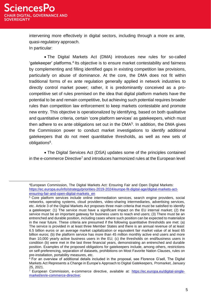intervening more effectively in digital sectors, including through a more ex ante, quasi-regulatory approach. In particular:

 The Digital Markets Act (DMA) introduces new rules for so-called 'gatekeeper' platforms.<sup>4</sup> Its objective is to ensure market contestability and fairness by complementing and filling identified gaps in existing competition law provisions, particularly on abuse of dominance. At the core, the DMA does not fit within traditional forms of ex ante regulation generally applied in network industries to directly control market power; rather, it is predominantly conceived as a procompetitive set of rules premised on the idea that digital platform markets have the potential to be and remain competitive, but achieving such potential requires broader rules than competition law enforcement to keep markets contestable and promote new entry. This objective is operationalized by identifying, based on both qualitative and quantitative criteria, certain 'core platform services' as gatekeepers, which must then adhere to ex ante obligations set out in the DMA<sup>5</sup>. In addition, the DMA gives the Commission power to conduct market investigations to identify additional gatekeepers that do not meet quantitative thresholds, as well as new sets of obligations<sup>6</sup>.

 The Digital Services Act (DSA) updates some of the principles contained in the e-commerce Directive<sup>7</sup> and introduces harmonized rules at the European level

<sup>4</sup>European Commission, The Digital Markets Act: Ensuring Fair and Open Digital Markets: [https://ec.europa.eu/info/strategy/priorities-2019-2024/europe-fit-digital-age/digital-markets-act](https://ec.europa.eu/info/strategy/priorities-2019-2024/europe-fit-digital-age/digital-markets-act-ensuring-fair-and-open-digital-markets_en)[ensuring-fair-and-open-digital-markets\\_en](https://ec.europa.eu/info/strategy/priorities-2019-2024/europe-fit-digital-age/digital-markets-act-ensuring-fair-and-open-digital-markets_en)

<sup>&</sup>lt;sup>5</sup> Core platform services include online intermediation services, search engine providers, social networks, operating systems, cloud providers, video-sharing intermediaries, advertising services, etc. Article 3 of the Digital Markets Act proposes three main criteria that must be satisfied to identify a gatekeeper: (1) The service must have a significant impact on the EU internal market; (2) the service must be an important gateway for business users to reach end users; (3) There must be an entrenched and durable position, including cases where such position can be expected to materialize in the near future. These criteria are presumed if the following quantitative thresholds are met: (a) The service is provided in at least three Member States and there is an annual revenue of at least 6.5 billion euros or an average market capitalization or equivalent fair market value of at least 65 billion euros; (b) the platform service has more than 45 million monthly active end users and more than 10,000 yearly active business users in the EU; (c) the thresholds on end/business users in condition (b) were met in the last three financial years, demonstrating an entrenched and durable position. Examples of the proposed obligations for gatekeepers include, among others, restrictions on self-preferencing, separation of datasets, prohibitions on Most Favorite Nation Clauses, rules on pre-installation, portability measures, etc.

 $6$  For an overview of additional details included in the proposal, see Florence G'sell, The Digital Markets Act Represents a Change in Europe's Approach to Digital Gatekeepers, Promarket, January 25, 2021.

<sup>7</sup> European Commission, e-commerce directive, available at: [https://ec.europa.eu/digital-single](https://ec.europa.eu/digital-single-market/en/e-commerce-directive)[market/en/e-commerce-directive;](https://ec.europa.eu/digital-single-market/en/e-commerce-directive)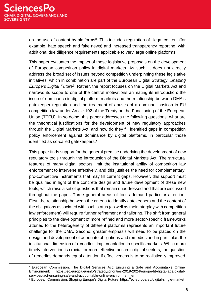on the use of content by platforms<sup>8</sup>. This includes regulation of illegal content (for example, hate speech and fake news) and increased transparency reporting, with additional due diligence requirements applicable to very large online platforms.

This paper evaluates the impact of these legislative proposals on the development of European competition policy in digital markets. As such, it does not directly address the broad set of issues beyond competition underpinning these legislative initiatives, which in combination are part of the European Digital Strategy, *Shaping* Europe's Digital Future<sup>9</sup>. Rather, the report focuses on the Digital Markets Act and narrows its scope to one of the central motivations animating its introduction: the issue of dominance in digital platform markets and the relationship between DMA's gatekeeper regulation and the treatment of abuses of a dominant position in EU competition law under Article 102 of the Treaty on the Functioning of the European Union (TFEU). In so doing, this paper addresses the following questions: what are the theoretical justifications for the development of new regulatory approaches through the Digital Markets Act, and how do they fill identified gaps in competition policy enforcement against dominance by digital platforms, in particular those identified as so-called gatekeepers?

This paper finds support for the general premise underlying the development of new regulatory tools through the introduction of the Digital Markets Act. The structural features of many digital sectors limit the institutional ability of competition law enforcement to intervene effectively, and this justifies the need for complementary, pro-competitive instruments that may fill current gaps. However, this support must be qualified in light of the concrete design and future development of these new tools, which raise a set of questions that remain unaddressed and that are discussed throughout the paper. Three general areas of focus demand particular attention. First, the relationship between the criteria to identify gatekeepers and the content of the obligations associated with such status (as well as their interplay with competition law enforcement) will require further refinement and tailoring. The shift from general principles to the development of more refined and more sector-specific frameworks attuned to the heterogeneity of different platforms represents an important future challenge for the DMA. Second, greater emphasis will need to be placed on the design and development of adequate obligations and remedies and in particular, the institutional dimension of remedies' implementation in specific markets. While more timely intervention is crucial for more effective action in digital sectors, the question of remedies demands equal attention if effectiveness is to be realistically improved

<sup>8</sup> European Commission, The Digital Services Act: Ensuring a Safe and Accountable Online Environment: https://ec.europa.eu/info/strategy/priorities-2019-2024/europe-fit-digital-age/digitalservices-act-ensuring-safe-and-accountable-online-environment\_en

<sup>9</sup> European Commission, Shaping Europe's Digital Future: https://ec.europa.eu/digital-single-market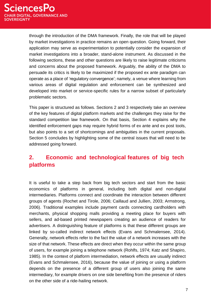through the introduction of the DMA framework. Finally, the role that will be played by market investigations in practice remains an open question. Going forward, their application may serve as experimentation to potentially consider the expansion of market investigations into a broader, stand-alone instrument. As discussed in the following sections, these and other questions are likely to raise legitimate criticisms and concerns about the proposed framework. Arguably, the ability of the DMA to persuade its critics is likely to be maximized if the proposed ex ante paradigm can operate as a place of 'regulatory convergence'; namely, a venue where learning from various areas of digital regulation and enforcement can be synthesized and developed into market or service-specific rules for a narrow subset of particularly problematic sectors.

This paper is structured as follows. Sections 2 and 3 respectively take an overview of the key features of digital platform markets and the challenges they raise for the standard competition law framework. On that basis, Section 4 explains why the identified enforcement gaps may require hybrid forms of ex ante and ex post tools, but also points to a set of shortcomings and ambiguities in the current proposals. Section 5 concludes by highlighting some of the central issues that will need to be addressed going forward.

## **2. Economic and technological features of big tech platforms**

It is useful to take a step back from big tech sectors and start from the basic economics of platforms in general, including both digital and non-digital intermediaries. Platforms connect and coordinate the interaction between different groups of agents (Rochet and Tirole, 2006; Caillaud and Jullien, 2003; Armstrong, 2006). Traditional examples include payment cards connecting cardholders with merchants, physical shopping malls providing a meeting place for buyers with sellers, and ad-based printed newspapers creating an audience of readers for advertisers. A distinguishing feature of platforms is that these different groups are linked by so-called indirect network effects (Evans and Schmalensee, 2014). Generally, network effects refer to the fact the value of a network increases with the size of that network. These effects are direct when they occur within the same group of users, for example joining a telephone network (Rohlfs, 1974; Katz and Shapiro, 1985). In the context of platform intermediation, network effects are usually indirect (Evans and Schmalensee, 2016), because the value of joining or using a platform depends on the presence of a different group of users also joining the same intermediary, for example drivers on one side benefiting from the presence of riders on the other side of a ride-hailing network.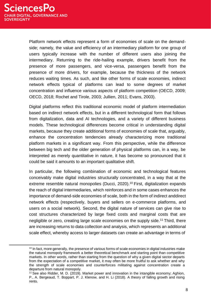Platform network effects represent a form of economies of scale on the demandside; namely, the value and efficiency of an intermediary platform for one group of users typically increase with the number of different users also joining the intermediary. Returning to the ride-hailing example, drivers benefit from the presence of more passengers, and vice-versa, passengers benefit from the presence of more drivers, for example, because the thickness of the network reduces waiting times. As such, and like other forms of scale economies, indirect network effects typical of platforms can lead to some degrees of market concentration and influence various aspects of platform competition (OECD, 2009; OECD, 2018; Rochet and Tirole, 2003; Jullien, 2011; Evans, 2003).

Digital platforms reflect this traditional economic model of platform intermediation based on indirect network effects, but in a different technological form that follows from digitalization, data and AI technologies, and a variety of different business models. These technological differences become critical in understanding digital markets, because they create additional forms of economies of scale that, arguably, enhance the concentration tendencies already characterizing more traditional platform markets in a significant way. From this perspective, while the difference between big tech and the older generation of physical platforms can, in a way, be interpreted as merely quantitative in nature, it has become so pronounced that it could be said it amounts to an important qualitative shift.

In particular, the following combination of economic and technological features conceivably make digital industries structurally concentrated, in a way that at the extreme resemble natural monopolies (Ducci, 2020).<sup>10</sup> First, digitalization expands the reach of digital intermediaries, which reinforces and in some cases enhances the importance of demand-side economies of scale, both in the form of indirect anddirect network effects (respectively, buyers and sellers on e-commerce platforms, and users on a social network). Second, the digital nature of services can give rise to cost structures characterized by large fixed costs and marginal costs that are negligible or zero, creating large scale economies on the supply side.<sup>11</sup> Third, there are increasing returns to data collection and analysis, which represents an additional scale effect, whereby access to larger datasets can create an advantage in terms of

<sup>&</sup>lt;sup>10</sup> In fact, more generally, the presence of various forms of scale economies in digital industries make the natural monopoly framework a better theoretical benchmark and starting point than competitive markets. In other words, rather than starting from the question of why a given digital sector departs from the expectation of a competitive market, it may often be more fruitful to ask whether and why the strength of scale economies and counterforces militating against concentration create a departure from natural monopoly.

<sup>&</sup>lt;sup>11</sup> See also Ridder, M. D. (2019). Market power and innovation in the intangible economy; Aghion, P., A. Bergeaud, T. Boppart, P. J. Klenow, and H. Li (2018). A theory of falling growth and rising rents.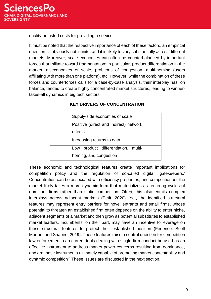quality-adjusted costs for providing a service.

It must be noted that the respective importance of each of these factors, an empirical question, is obviously not infinite, and it is likely to vary substantially across different markets. Moreover, scale economies can often be counterbalanced by important forces that militate toward fragmentation; in particular, product differentiation in the market, diseconomies of scale, problems of congestion, multi-homing (users affiliating with more than one platform), etc. However, while the combination of these forces and counterforces calls for a case-by-case analysis, their interplay has, on balance, tended to create highly concentrated market structures, leading to winnertakes-all dynamics in big tech sectors.

| Supply-side economies of scale         |
|----------------------------------------|
| Positive (direct and indirect) network |
| effects                                |
| Increasing returns to data             |
| product differentiation, multi-<br>Low |
| homing, and congestion                 |

#### **KEY DRIVERS OF CONCENTRATION**

These economic and technological features create important implications for competition policy and the regulation of so-called digital 'gatekeepers.' Concentration can be associated with efficiency properties, and competition *for* the market likely takes a more dynamic form that materializes as recurring cycles of dominant firms rather than static competition. Often, this also entails complex interplays across adjacent markets (Petit, 2020). Yet, the identified structural features may represent entry barriers for novel entrants and small firms, whose potential to threaten an established firm often depends on the ability to enter niche, adjacent segments of a market and then grow as potential substitutes to established market leaders. Incumbents, on their part, may have an incentive to leverage on these structural features to protect their established position (Federico, Scott Morton, and Shapiro, 2019). These features raise a central question for competition law enforcement: can current tools dealing with single-firm conduct be used as an effective instrument to address market power concerns resulting from dominance, and are these instruments ultimately capable of promoting market contestability and dynamic competition? These issues are discussed in the next section.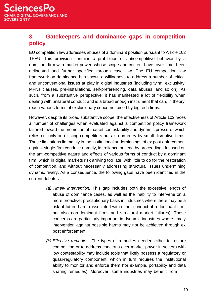## **3. Gatekeepers and dominance gaps in competition policy**

EU competition law addresses abuses of a dominant position pursuant to Article 102 TFEU. This provision contains a prohibition of anticompetitive behavior by a dominant firm with market power, whose scope and content have, over time, been delineated and further specified through case law. The EU competition law framework on dominance has shown a willingness to address a number of critical and unconventional issues at play in digital industries (including tying, exclusivity, MFNs clauses, pre-installations, self-preferencing, data abuses, and so on). As such, from a substantive perspective, it has manifested a lot of flexibility when dealing with unilateral conduct and is a broad enough instrument that can, in theory, reach various forms of exclusionary concerns raised by big tech firms.

However, despite its broad substantive scope, the effectiveness of Article 102 faces a number of challenges when evaluated against a competition policy framework tailored toward the promotion of market contestability and dynamic pressure, which relies not only on existing competitors but also on entry by small disruptive firms. These limitations lie mainly in the institutional underpinnings of ex post enforcement against single-firm conduct: namely, its reliance on lengthy proceedings focused on the anti-competitive nature and effects of various forms of conduct by a dominant firm, which in digital markets risk arriving too late, with little to do for the restoration of competition, and without necessarily addressing structural issues undermining dynamic rivalry. As a consequence, the following gaps have been identified in the current debates:

- *(a) Timely intervention.* This gap includes both the excessive length of abuse of dominance cases, as well as the inability to intervene on a more proactive, precautionary basis in industries where there may be a risk of future harm (associated with either conduct of a dominant firm, but also non-dominant firms and structural market failures). These concerns are particularly important in dynamic industries where timely intervention against possible harms may not be achieved through ex post enforcement.
- *(b) Effective remedies.* The types of remedies needed either to restore competition or to address concerns over market power in sectors with low contestability may include tools that likely possess a regulatory or quasi-regulatory component, which in turn requires the institutional ability to monitor and enforce them (for example, portability and data sharing remedies). Moreover, some industries may benefit from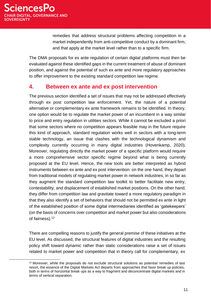remedies that address structural problems affecting competition in a market independently from anti-competitive conduct by a dominant firm, and that apply at the market level rather than to a specific firm.

The DMA proposals for ex ante regulation of certain digital platforms must then be evaluated against these identified gaps in the current treatment of abuse of dominant position, and against the potential of such ex ante and more regulatory approaches to offer improvement to the existing standard competition law regime.

## **4. Between ex ante and ex post intervention**

The previous section identified a set of issues that may not be addressed effectively through ex post competition law enforcement. Yet, the nature of a potential alternative or complementary ex ante framework remains to be identified. In theory, one option would be to regulate the market power of an incumbent in a way similar to price and entry regulation in utilities sectors. While it cannot be excluded a priori that some sectors where no competition appears feasible may in the future require this kind of approach, standard regulation works well in sectors with a long-term stable technology, an issue that clashes with the technological dynamism and complexity currently occurring in many digital industries (Hovenkamp, 2020). Moreover, regulating directly the market power of a specific platform would require a more comprehensive sector specific regime beyond what is being currently proposed at the EU level. Hence, the new tools are better interpreted as hybrid instruments between ex ante and ex post intervention: on the one hand, they depart from traditional models of regulating market power in network industries, in so far as they augment the standard competition law toolkit to better facilitate new entry, contestability, and displacement of established market positions. On the other hand, they differ from competition law and gravitate toward a more regulatory paradigm in that they also identify a set of behaviors that should not be permitted ex ante in light of the established position of some digital intermediaries identified as 'gatekeepers' (on the basis of concerns over competition and market power but also considerations of fairness).<sup>12</sup>

There are compelling reasons to justify the general premise of these initiatives at the EU level. As discussed, the structural features of digital industries and the resulting policy shift toward dynamic rather than static considerations raise a set of issues related to market power and competition that in theory call for complementary, ex

<sup>12</sup> Moreover, while the proposals do not exclude structural solutions as potential remedies of last resort, the essence of the Digital Markets Act departs from approaches that favor break up policies, both in terms of horizontal break ups as a way to fragment and deconcentrate digital markets and in terms of vertical separation.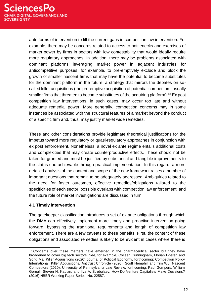ante forms of intervention to fill the current gaps in competition law intervention. For example, there may be concerns related to access to bottlenecks and exercises of market power by firms in sectors with low contestability that would ideally require more regulatory approaches. In addition, there may be problems associated with dominant platforms leveraging market power in adjacent industries for anticompetitive purposes; for example, to pre-emptively exclude and block the growth of smaller nascent firms that may have the potential to become substitutes for the dominant platform in the future, a strategy that mirrors the debates on socalled killer acquisitions (the pre-emptive acquisition of potential competitors, usually smaller firms that threaten to become substitutes of the acquiring platform).<sup>13</sup> Ex post competition law interventions, in such cases, may occur too late and without adequate remedial power. More generally, competition concerns may in some instances be associated with the structural features of a market beyond the conduct of a specific firm and, thus, may justify market wide remedies.

These and other considerations provide legitimate theoretical justifications for the impetus toward more regulatory or quasi-regulatory approaches in conjunction with ex post enforcement. Nonetheless, a novel ex ante regime entails additional costs and complexities that may create counterproductive effects. These should not be taken for granted and must be justified by substantial and tangible improvements to the status quo achievable through practical implementation. In this regard, a more detailed analysis of the content and scope of the new framework raises a number of important questions that remain to be adequately addressed. Ambiguities related to the need for faster outcomes, effective remedies/obligations tailored to the specificities of each sector, possible overlaps with competition law enforcement, and the future role of market investigations are discussed in turn.

#### **4.1 Timely intervention**

The gatekeeper classification introduces a set of ex ante obligations through which the DMA can effectively implement more timely and proactive intervention going forward, bypassing the traditional requirements and length of competition law enforcement. There are a few caveats to these benefits. First, the content of these obligations and associated remedies is likely to be evident in cases where there is

<sup>&</sup>lt;sup>13</sup> Concerns over these mergers have emerged in the pharmaceutical sector but they have broadened to cover big tech sectors. See, for example, Colleen Cunningham, Florian Ederer, and Song Ma, Killer Acquisitions (2020) Journal of Political Economy, forthcoming; Competition Policy International, Killer Acquisitions, Antitrust Chronicle (2020); Scott Hemphill and Tim Wu, Nascent Competitors (2020), University of Pennsylvania Law Review, forthcoming; Paul Gompers, William Gornall, Steven N. Kaplan, and Ilya A. Strebulaev, How Do Venture Capitalists Make Decisions? (2016) NBER Working Paper Series, No. 22587.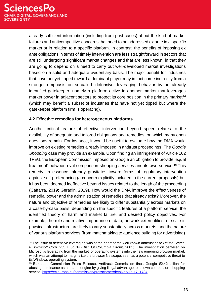already sufficient information (including from past cases) about the kind of market failures and anticompetitive concerns that need to be addressed ex ante in a specific market or in relation to a specific platform. In contrast, the benefits of imposing ex ante obligations in terms of timely intervention are less straightforward in sectors that are still undergoing significant market changes and that are less known, in that they are going to depend on a need to carry out well-developed market investigations based on a solid and adequate evidentiary basis. The major benefit for industries that have not yet tipped toward a dominant player may in fact come indirectly from a stronger emphasis on so-called 'defensive' leveraging behavior by an already identified gatekeeper, namely a platform active in another market that leverages market power in adjacent sectors to protect its core position in the primary market<sup>14</sup> (which may benefit a subset of industries that have not yet tipped but where the gatekeeper platform firm is operating).

#### **4.2 Effective remedies for heterogeneous platforms**

Another critical feature of effective intervention beyond speed relates to the availability of adequate and tailored obligations and remedies, on which many open questions remain. For instance, it would be useful to evaluate how the DMA would improve on existing remedies already imposed in antitrust proceedings. The *Google Shopping* case may provide an example. Upon finding an infringement of Article 102 TFEU, the European Commission imposed on Google an obligation to provide 'equal treatment' between rival comparison-shopping services and its own service.<sup>15</sup> This remedy, in essence, already gravitates toward forms of regulatory intervention against self-preferencing (a concern explicitly included in the current proposals) but it has been deemed ineffective beyond issues related to the length of the proceeding (Caffarra, 2019; Geradin, 2019). How would the DMA improve the effectiveness of remedial power and the administration of remedies that already exist? Moreover, the nature and objective of remedies are likely to differ substantially across markets on a case-by-case basis, depending on the specific features of a platform service, the identified theory of harm and market failure, and desired policy objectives. For example, the role and relative importance of data, network externalities, or scale in physical infrastructure are likely to vary substantially across markets, and the nature of various platform services (from matchmaking to audience building for advertising)

<sup>14</sup> The issue of defensive leveraging was at the heart of the well-known antitrust case *United States v. Microsoft Corp*. 253 F 3d 34 (Dist. Of Columbia Circuit, 2001). The investigation centered on Microsoft's leveraging from the market for operating systems into the new emerging browser market, which was an attempt to marginalize the browser Netscape, seen as a potential competitive threat to its Windows operating system.

<sup>15</sup> European Commission Press Release, Antitrust: Commission fines Google €2.42 billion for abusing dominance as a search engine by giving illegal advantage to its own comparison-shopping service: [https://ec.europa.eu/commission/presscorner/detail/en/IP\\_17\\_1784](https://ec.europa.eu/commission/presscorner/detail/en/IP_17_1784)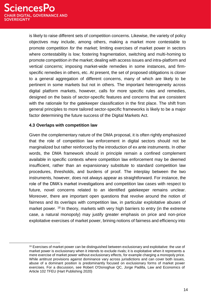is likely to raise different sets of competition concerns. Likewise, the variety of policy objectives may include, among others, making a market more contestable to promote competition *for* the market; limiting exercises of market power in sectors where contestability is low; fostering fragmentation, switching and multi-homing to promote competition *in* the market; dealing with access issues and intra-platform and vertical concerns; imposing market-wide remedies in some instances, and firmspecific remedies in others, etc. At present, the set of proposed obligations is closer to a general aggregation of different concerns, many of which are likely to be pertinent in some markets but not in others. The important heterogeneity across digital platform markets, however, calls for more specific rules and remedies, designed on the basis of sector-specific features and concerns that are consistent with the rationale for the gatekeeper classification in the first place. The shift from general principles to more tailored sector-specific frameworks is likely to be a major factor determining the future success of the Digital Markets Act.

#### **4.3 Overlaps with competition law**

Given the complementary nature of the DMA proposal, it is often rightly emphasized that the role of competition law enforcement in digital sectors should not be marginalized but rather reinforced by the introduction of ex ante instruments. In other words, the DMA framework should in principle remain a confined complement available in specific contexts where competition law enforcement may be deemed insufficient, rather than an expansionary substitute to standard competition law procedures, thresholds, and burdens of proof. The interplay between the two instruments, however, does not always appear as straightforward. For instance, the role of the DMA's market investigations and competition law cases with respect to future, novel concerns related to an identified gatekeeper remains unclear. Moreover, there are important open questions that revolve around the notion of fairness and its overlaps with competition law, in particular exploitative abuses of market power. <sup>16</sup> In theory, markets with very high barriers to entry (in the extreme case, a natural monopoly) may justify greater emphasis on price and non-price exploitative exercises of market power, brining notions of fairness and efficiency into

<sup>&</sup>lt;sup>16</sup> Exercises of market power can be distinguished between exclusionary and exploitative: the use of market power is exclusionary when it intends to exclude rivals; it is exploitative when it represents a mere exercise of market power without exclusionary effects, for example charging a monopoly price. While antitrust provisions against dominance vary across jurisdictions and can cover both issues, abuse of a dominant position is predominantly focused on exclusionary forms of market power exercises. For a discussion, see Robert O'Donoghue QC, Jorge Padilla, Law and Economics of Article 102 TFEU (Hart Publishing 2020)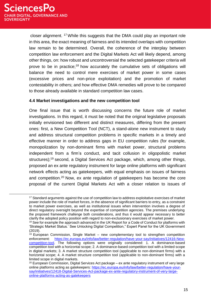closer alignment. <sup>17</sup>While this suggests that the DMA could play an important role in this area, the exact meaning of fairness and its intended overlaps with competition law remain to be determined. Overall, the coherence of the interplay between competition law enforcement and the Digital Markets Act will likely depend, among other things, on: how robust and uncontroversial the selected gatekeeper criteria will prove to be in practice;<sup>18</sup> how accurately the cumulative sets of obligations will balance the need to control mere exercises of market power in some cases (excessive prices and non-price exploitation) and the promotion of market contestability in others; and how effective DMA remedies will prove to be compared to those already available in standard competition law cases.

#### **4.4 Market investigations and the new competition tool**

One final issue that is worth discussing concerns the future role of market investigations. In this regard, it must be noted that the original legislative proposals initially envisioned two different and distinct measures, differing from the present ones: first, a New Competition Tool (NCT), a stand-alone new instrument to study and address structural competition problems in specific markets in a timely and effective manner in order to address gaps in EU competition rules (for example, monopolization by non-dominant firms with market power, structural problems independent from a firm's conduct, and tacit collusion in oligopolistic market structures);<sup>19</sup> second, a Digital Services Act package, which, among other things, proposed an ex ante regulatory instrument for large online platforms with significant network effects acting as gatekeepers, with equal emphasis on issues of fairness and competition.<sup>20</sup> Now, ex ante regulation of gatekeepers has become the core proposal of the current Digital Markets Act with a closer relation to issues of

<sup>&</sup>lt;sup>17</sup> Standard arguments against the use of competition law to address exploitative exercises of market power include the role of market forces, in the absence of significant barriers to entry, as a constraint to market power exercises, as well as institutional issues when intervention involves a degree of direct regulatory oversight beyond the expertise of competition agencies. The premises underlying the proposed framework challenge both considerations, and thus it would appear necessary to better clarify the adopted policy position with regard to non-exclusionary exercises of market power.

<sup>&</sup>lt;sup>18</sup> See for example the approach advanced in the UK Report for a Code of Conduct for platforms with 'Strategic Market Status.' See Unlocking Digital Competition," Expert Panel for the UK Government (2019).

<sup>&</sup>lt;sup>19</sup> European Commission, Single Market – new complementary tool to strengthen competition enforcement: [https://ec.europa.eu/info/law/better-regulation/have-your-say/initiatives/12416-New](https://ec.europa.eu/info/law/better-regulation/have-your-say/initiatives/12416-New-competition-tool)[competition-tool.](https://ec.europa.eu/info/law/better-regulation/have-your-say/initiatives/12416-New-competition-tool) The following options were originally considered: 1. A dominance-based competition tool with a horizontal scope; 2. A dominance-based competition tool with a limited scope in digital markets; 3. A market structure competition tool (applicable to non-dominant firms) with a horizontal scope; 4. A market structure competition tool (applicable to non-dominant firms) with a limited scope in digital markets.

 $20$  European Commission, Digital Services Act package – ex ante regulatory instrument of very large online platforms acting as gatekeepers: [https://ec.europa.eu/info/law/better-regulation/have-your](https://ec.europa.eu/info/law/better-regulation/have-your-say/initiatives/12418-Digital-Services-Act-package-ex-ante-regulatory-instrument-of-very-large-online-platforms-acting-as-gatekeepers)[say/initiatives/12418-Digital-Services-Act-package-ex-ante-regulatory-instrument-of-very-large](https://ec.europa.eu/info/law/better-regulation/have-your-say/initiatives/12418-Digital-Services-Act-package-ex-ante-regulatory-instrument-of-very-large-online-platforms-acting-as-gatekeepers)[online-platforms-acting-as-gatekeepers](https://ec.europa.eu/info/law/better-regulation/have-your-say/initiatives/12418-Digital-Services-Act-package-ex-ante-regulatory-instrument-of-very-large-online-platforms-acting-as-gatekeepers)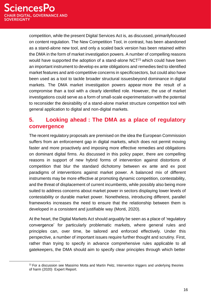competition, while the present Digital Services Act is, as discussed, primarilyfocused on content regulation. The New Competition Tool, in contrast, has been abandoned as a stand-alone new tool, and only a scaled back version has been retained within the DMA in the form of market investigation powers. A number of compelling reasons would have supported the adoption of a stand-alone  $NCT<sup>21</sup>$  which could have been an important instrument to develop ex ante obligations and remedies tied to identified market features and anti-competitive concerns in specificsectors, but could also have been used as a tool to tackle broader structural issuesbeyond dominance in digital markets. The DMA market investigation powers appear more the result of a compromise than a tool with a clearly identified role. However, the use of market investigations could serve as a form of small-scale experimentation with the potential to reconsider the desirability of a stand-alone market structure competition tool with general application to digital and non-digital markets.

## **5. Looking ahead : The DMA as a place of regulatory convergence**

The recent regulatory proposals are premised on the idea the European Commission suffers from an enforcement gap in digital markets, which does not permit moving faster and more proactively and imposing more effective remedies and obligations on dominant digital firms. As discussed in this policy paper, there are compelling reasons in support of new hybrid forms of intervention against distortions of competition that blur the standard dichotomy between ex ante and ex post paradigms of interventions against market power. A balanced mix of different instruments may be more effective at promoting dynamic competition, contestability, and the threat of displacement of current incumbents, while possibly also being more suited to address concerns about market power in sectors displaying lower levels of contestability or durable market power. Nonetheless, introducing different, parallel frameworks increases the need to ensure that the relationship between them is developed in a consistent and justifiable way (Monti, 2020).

At the heart, the Digital Markets Act should arguably be seen as a place of 'regulatory convergence' for particularly problematic markets, where general rules and principles can, over time, be tailored and enforced effectively. Under this perspective, a number of important issues require further thought and scrutiny. First, rather than trying to specify in advance comprehensive rules applicable to all gatekeepers, the DMA should aim to specify clear principles through which better

<sup>&</sup>lt;sup>21</sup> For a discussion see Massimo Motta and Martin Peitz, Intervention triggers and underlying theories of harm (2020) Expert Report.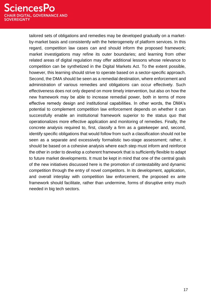tailored sets of obligations and remedies may be developed gradually on a marketby-market basis and consistently with the heterogeneity of platform services. In this regard, competition law cases can and should inform the proposed framework; market investigations may refine its outer boundaries; and learning from other related areas of digital regulation may offer additional lessons whose relevance to competition can be synthetized in the Digital Markets Act. To the extent possible, however, this learning should strive to operate based on a sector-specific approach. Second, the DMA should be seen as a remedial destination, where enforcement and administration of various remedies and obligations can occur effectively. Such effectiveness does not only depend on more timely intervention, but also on how the new framework may be able to increase remedial power, both in terms of more effective remedy design and institutional capabilities. In other words, the DMA's potential to complement competition law enforcement depends on whether it can successfully enable an institutional framework superior to the status quo that operationalizes more effective application and monitoring of remedies. Finally, the concrete analysis required to, first, classify a firm as a gatekeeper and, second, identify specific obligations that would follow from such a classification should not be seen as a separate and excessively formalistic two-stage assessment; rather, it should be based on a cohesive analysis where each step must inform and reinforce the other in order to develop a coherent framework that is sufficiently flexible to adapt to future market developments. It must be kept in mind that one of the central goals of the new initiatives discussed here is the promotion of contestability and dynamic competition through the entry of novel competitors. In its development, application, and overall interplay with competition law enforcement, the proposed ex ante framework should facilitate, rather than undermine, forms of disruptive entry much needed in big tech sectors.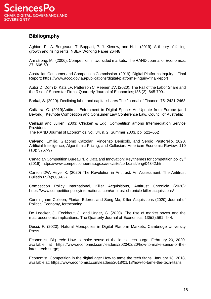### **Bibliography**

Aghion, P., A. Bergeaud, T. Boppart, P. J. Klenow, and H. Li (2019). A theory of falling growth and rising rents, NBER Working Paper 26448

Armstrong, M. (2006), Competition in two‐sided markets. The RAND Journal of Economics, 37: 668-691

Australian Consumer and Competition Commission. (2019). Digital Platforms Inquiry – Final Report: https:/[/www.accc.gov.au/publications/digital-platforms-inquiry-final-report](http://www.accc.gov.au/publications/digital-platforms-inquiry-final-report)

Autor D, Dorn D, Katz LF, Patterson C, Reenen JV. (2020). The Fall of the Labor Share and the Rise of Superstar Firms. Quarterly Journal of Economics;135 (2) :645-709..

Barkai, S. (2020). Declining labor and capital shares The Journal of Finance, 75: 2421-2463

Caffarra, C. (2019)Antitrust Enforcment in Digital Space: An Update from Europe (and Beyond), Keynote Competition and Consumer Law Conference Law, Council of Australia;

Caillaud and Jullien, 2003; Chicken & Egg: Competition among Intermediation Service **Providers** 

The RAND Journal of Economics, vol. 34, n. 2, Summer 2003, pp. 521–552

Calvano, Emilio, Giacomo Calzolari, Vincenzo Denicolò, and Sergio Pastorello. 2020. Artificial Intelligence, Algorithmic Pricing, and Collusion. American Economic Review, 110 (10): 3267-97

Canadian Competition Bureau "Big Data and Innovation: Key themes for competition policy," (2018): https:/[/www.competitionbureau.gc.ca/eic/site/cb-bc.nsf/eng/04342.html](http://www.competitionbureau.gc.ca/eic/site/cb-bc.nsf/eng/04342.html)

Carlton DW, Heyer K. (2020) The Revolution in Antitrust: An Assessment. The Antitrust Bulletin 65(4):608-627.

Competition Policy International, Killer Acquisitions, Antitrust Chronicle (2020): https:/[/www.competitionpolicyinternational.com/antitrust-chronicle-killer-acquisitions/](http://www.competitionpolicyinternational.com/antitrust-chronicle-killer-acquisitions/)

Cunningham Colleen, Florian Ederer, and Song Ma, Killer Acquisitions (2020) Journal of Political Economy, forthcoming;

De Loecker, J., Eeckhout, J., and Unger, G. (2020). The rise of market power and the macroeconomic implications. The Quarterly Journal of Economics, 135(2):561–644.

Ducci, F. (2020). Natural Monopolies in Digital Platform Markets, Cambridge University Press.

Economist, Big tech: How to make sense of the latest tech surge, February 20, 2020, available at https:/[/www.economist.com/leaders/2020/02/20/how-to-make-sense-of-the](http://www.economist.com/leaders/2020/02/20/how-to-make-sense-of-the-)latest-tech-surge;

Economist, Competition in the digital age: How to tame the tech titans, January 18, 2018, available at: https:/[/www.economist.com/leaders/2018/01/18/how-to-tame-the-tech-titans](http://www.economist.com/leaders/2018/01/18/how-to-tame-the-tech-titans)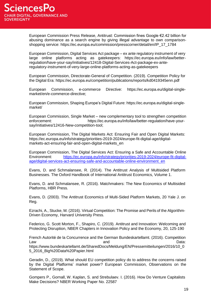European Commission Press Release, Antitrust: Commission fines Google €2.42 billion for abusing dominance as a search engine by giving illegal advantage to own comparisonshopping service: https://ec.europa.eu/commission/presscorner/detail/en/IP\_17\_1784

European Commission, Digital Services Act package – ex ante regulatory instrument of very large online platforms acting as gatekeepers: https://ec.europa.eu/info/law/betterregulation/have-your-say/initiatives/12418-Digital-Services-Act-package-ex-anteregulatory-instrument-of-very-large-online-platforms-acting-as-gatekeepers

European Commission, Directorate-General of Competition. (2019). Competition Policy for the Digital Era: https://ec.europa.eu/competition/publications/reports/kd0419345enn.pdf

European Commission, e-commerce Directive: https://ec.europa.eu/digital-singlemarket/en/e-commerce-directive;

European Commission, Shaping Europe's Digital Future: https://ec.europa.eu/digital-singlemarket/

European Commission, Single Market – new complementary tool to strengthen competition enforcement: https://ec.europa.eu/info/law/better-regulation/have-yoursay/initiatives/12416-New-competition-tool;

European Commission, The Digital Markets Act: Ensuring Fair and Open Digital Markets: https://ec.europa.eu/info/strategy/priorities-2019-2024/europe-fit-digital-age/digitalmarkets-act-ensuring-fair-and-open-digital-markets\_en

European Commission, The Digital Services Act: Ensuring a Safe and Accountable Online Environment: [https://ec.europa.eu/info/strategy/priorities-2019-2024/europe-fit-digital](https://ec.europa.eu/info/strategy/priorities-2019-2024/europe-fit-digital-age/digital-services-act-ensuring-safe-and-accountable-online-environment_en)[age/digital-services-act-ensuring-safe-and-accountable-online-environment\\_en](https://ec.europa.eu/info/strategy/priorities-2019-2024/europe-fit-digital-age/digital-services-act-ensuring-safe-and-accountable-online-environment_en)

Evans, D. and Schmalansee, R. (2014). The Antitrust Analysis of Multisided Platform Businesses. The Oxford Handbook of International Antitrust Economics, Volume 1.

Evans, D. and Schmalansee, R. (2016). Matchmakers: The New Economics of Multisided Platforms, HBR Press.

Evans, D. (2003). The Antitrust Economics of Multi-Sided Platform Markets, 20 Yale J. on Reg.

Ezrachi, A., Stucke, M. (2016). Virtual Competition: The Promise and Perils of the Algorithm-Driven Economy, Harvard University Press.

Federico, G. Scott Morton, F., Shapiro, C. (2019). Antitrust and Innovation: Welcoming and Protecting Disruption, NBER Chapters in Innovation Policy and the Economy, 20, 125-190

French Autorité de la Concurrence and the German Bundeskartellamt. (2016). Competition Law **Data:** and Data: https:/[/www.bundeskartellamt.de/SharedDocs/Meldung/EN/Pressemitteilungen/2016/10\\_0](http://www.bundeskartellamt.de/SharedDocs/Meldung/EN/Pressemitteilungen/2016/10_0) 5\_2016\_Big%20Data%20Papier.html

Geradin, D., (2019). What should EU competition policy do to address the concerns raised by the Digital Platforms' market power? European Commission, Observations on the Statement of Scope.

Gompers P., Gornall, W. Kaplan, S. and Strebulaev. I. (2016). How Do Venture Capitalists Make Decisions? NBER Working Paper No. 22587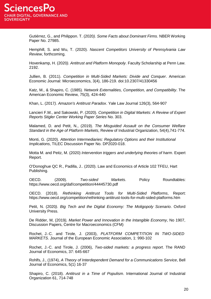Gutiérrez, G., and Philippon. T. (2020*). Some Facts about Dominant Firms*. NBER Working Paper No. 27985.

Hemphill, S. and Wu, T. (2020). *Nascent Competitors University of Pennsylvania Law Review*, forthcoming.

Hovenkamp, H. (2020*). Antitrust and Platform Monopoly*. Faculty Scholarship at Penn Law. 2192.

Jullien, B. (2011). *Competition in Multi-Sided Markets: Divide and Conquer*. American Economic Journal: Microeconomics, 3(4), 186-219. doi:10.2307/41330456

Katz, M., & Shapiro, C. (1985)*. Network Externalities, Competition, and Compatibility*. The American Economic Review, 75(3), 424-440

Khan, L. (2017*). Amazon's Antitrust Paradox*. Yale Law Journal 126(3), 564-907

Lancieri F.M., and Sakowski, P. (2020). *Competition in Digital Markets: A Review of Expert Reports Stigler Center Working Paper Series* No. 303.

Malamed, D. and Petit, N., (2019). *The Misguided Assault on the Consumer Welfare Standard in the Age of Platform Markets*, Review of Industrial Organization, 54(4),741-774.

Monti, G. (2020). *Attention Intermediaries: Regulatory Options and their Institutional Implications*, TILEC Discussion Paper No. DP2020-018.

Motta M. and Peitz, M. (2020) *Intervention triggers and underlying theories of harm*. Expert Report.

O'Donoghue QC R., Padilla, J.. (2020). Law and Economics of Article 102 TFEU, Hart Publishing.

OECD. (2009). *Two-sided Markets*. Policy Roundtables: https:/[/www.oecd.org/daf/competition/44445730.pdf](http://www.oecd.org/daf/competition/44445730.pdf)

OECD. (2018). *Rethinking Antitrust Tools for Multi-Sided Platforms*, Report: https:/[/www.oecd.org/competition/rethinking-antitrust-tools-for-multi-sided-platforms.htm](http://www.oecd.org/competition/rethinking-antitrust-tools-for-multi-sided-platforms.htm)

Petit, N. (2020*). Big Tech and the Digital Economy: The Moligopoly Scenario*. Oxford University Press.

De Ridder, M, (2019*), Market Power and Innovation in the Intangible Economy*, No 1907, Discussion Papers, Centre for Macroeconomics (CFM)

Rochet, J.‐C. and Tirole, J. (2003), *PLATFORM COMPETITION IN TWO*‐*SIDED MARKETS*. Journal of the European Economic Association, 1: 990-102

Rochet, J.‐C. and Tirole, J. (2006), *Two*‐*sided markets: a progress report*. The RAND Journal of Economics, 37: 645-667

Rohlfs, J., (1974), *A Theory of Interdependent Demand for a Communications Service*, Bell Journal of Economics, 5(1) 16-37

Shapiro, C. (2018). *Antitrust in a Time of Populism*. International Journal of Industrial Organization 61, 714-748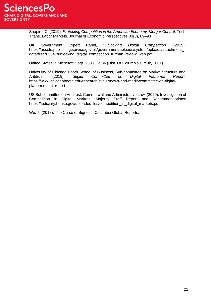

Shapiro, C. (2019). *Protecting Competition in the American Economy: Merger Control*, Tech Titans, Labor Markets. Journal of Economic Perspectives 33(3), 69–93

UK Government Expert Panel, "*Unlocking Digital Competition*" (2019): https://assets.publishing.service.gov.uk/government/uploads/system/uploads/attachment\_ data/file/785547/unlocking\_digital\_competition\_furman\_review\_web.pdf

United States v. Microsoft Corp. 253 F 3d 34 (Dist. Of Columbia Circuit, 2001).

University of Chicago Booth School of Business, Sub-committee on Market Structure and Antitrust. (2019). *Stigler Committee on Digital Platforms Report*: https:/[/www.chicagobooth.edu/research/stigler/news-and-media/committee-on-digital](http://www.chicagobooth.edu/research/stigler/news-and-media/committee-on-digital-)platforms-final-report

US Subcommittee on Antitrust, Commercial and Administrative Law. (2020). Investigation of Competition in Digital Markets: Majority Staff Report and Recommendations: https://judiciary.house.gov/uploadedfiles/competition\_in\_digital\_markets.pdf

Wu, T. (2018). The Curse of Bigness. Columbia Global Reports.